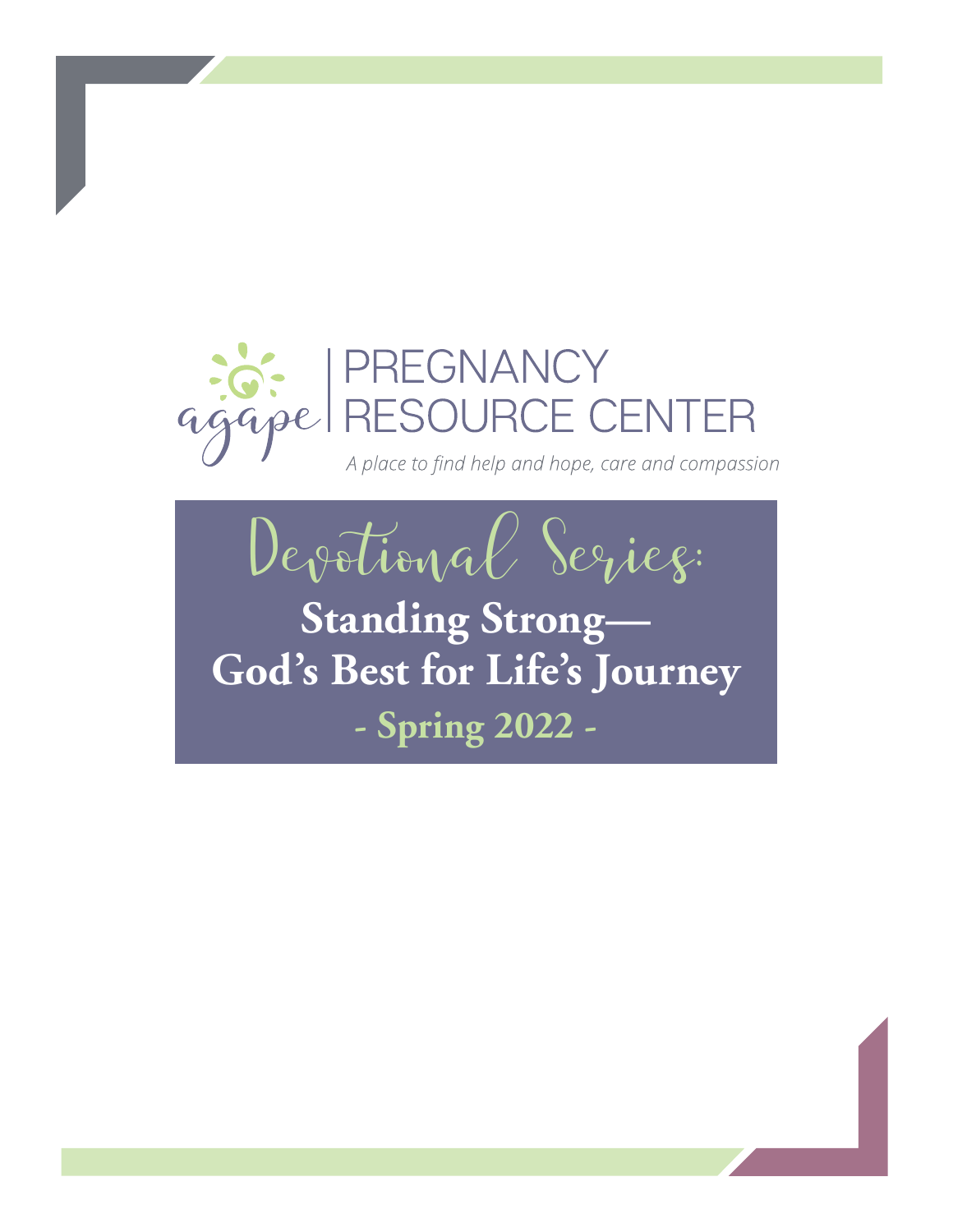

A place to find help and hope, care and compassion



**Standing Strong— God's Best for Life's Journey - Spring 2022 -**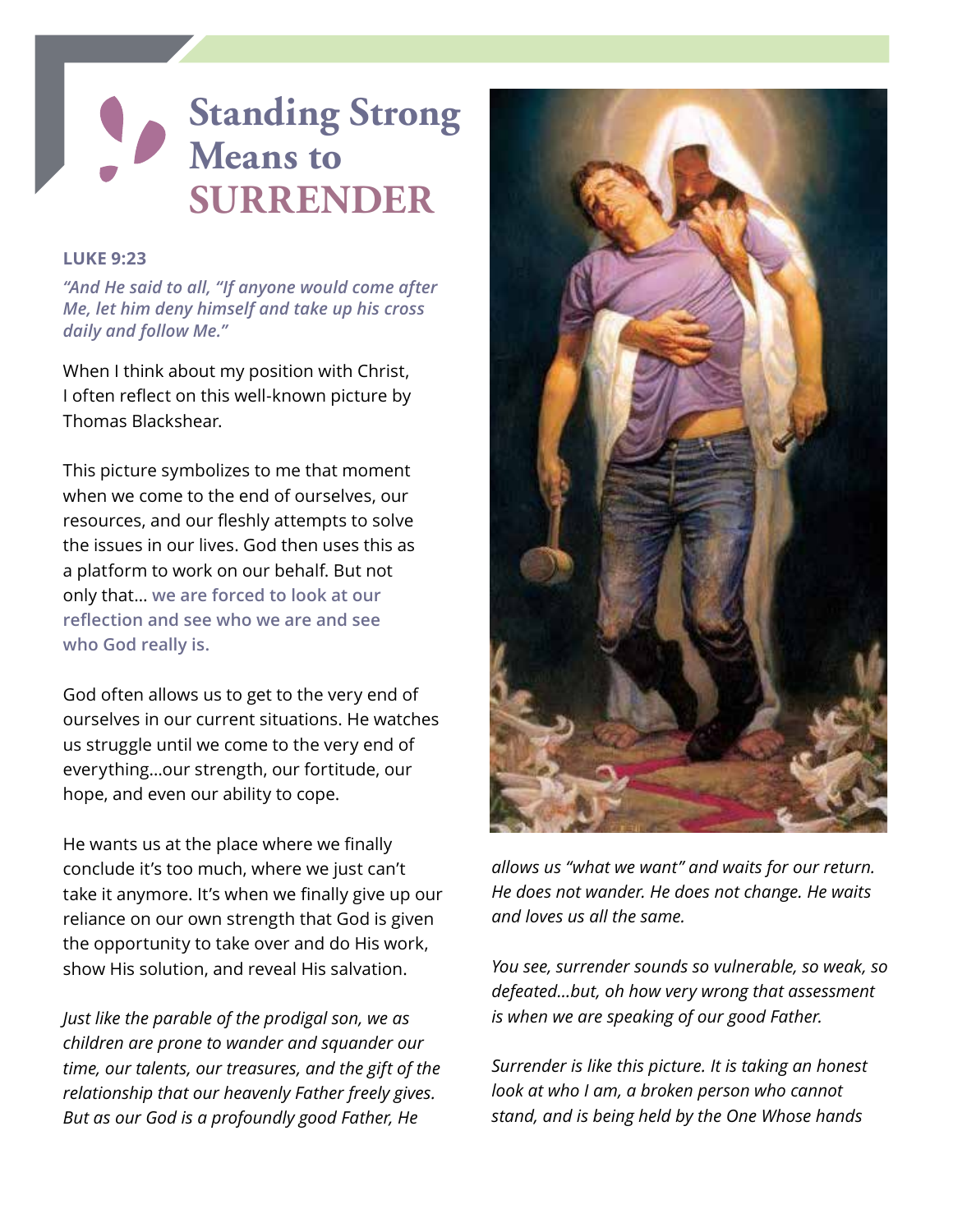# **Standing Strong Means to SURRENDER**

#### **LUKE 9:23**

*"And He said to all, "If anyone would come after Me, let him deny himself and take up his cross daily and follow Me."*

When I think about my position with Christ, I often reflect on this well-known picture by Thomas Blackshear.

This picture symbolizes to me that moment when we come to the end of ourselves, our resources, and our fleshly attempts to solve the issues in our lives. God then uses this as a platform to work on our behalf. But not only that… **we are forced to look at our reflection and see who we are and see who God really is.**

God often allows us to get to the very end of ourselves in our current situations. He watches us struggle until we come to the very end of everything…our strength, our fortitude, our hope, and even our ability to cope.

He wants us at the place where we finally conclude it's too much, where we just can't take it anymore. It's when we finally give up our reliance on our own strength that God is given the opportunity to take over and do His work, show His solution, and reveal His salvation.

*Just like the parable of the prodigal son, we as children are prone to wander and squander our time, our talents, our treasures, and the gift of the relationship that our heavenly Father freely gives. But as our God is a profoundly good Father, He* 



*allows us "what we want" and waits for our return. He does not wander. He does not change. He waits and loves us all the same.*

*You see, surrender sounds so vulnerable, so weak, so defeated…but, oh how very wrong that assessment is when we are speaking of our good Father.* 

*Surrender is like this picture. It is taking an honest look at who I am, a broken person who cannot stand, and is being held by the One Whose hands*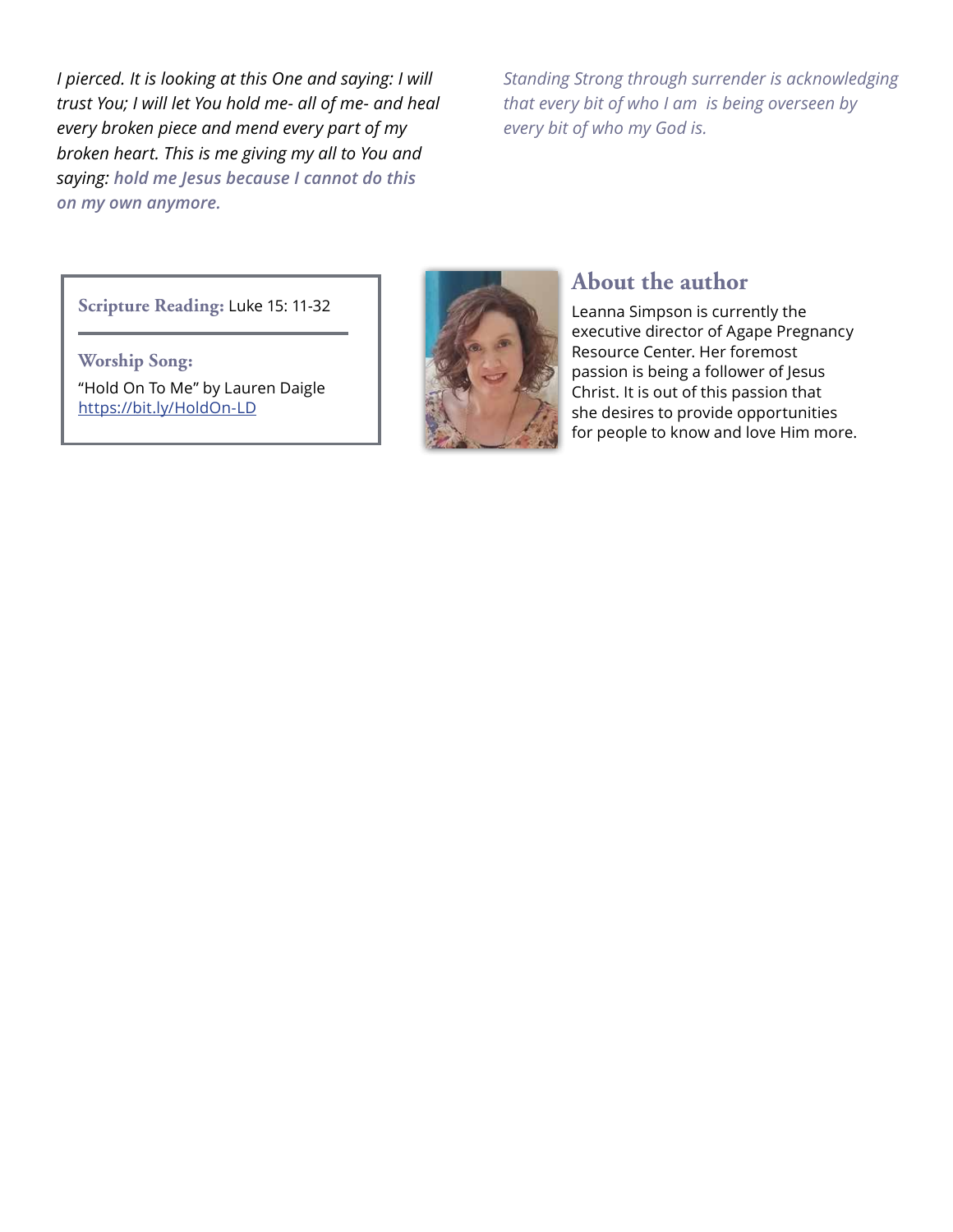*I pierced. It is looking at this One and saying: I will trust You; I will let You hold me- all of me- and heal every broken piece and mend every part of my broken heart. This is me giving my all to You and saying: hold me Jesus because I cannot do this on my own anymore.*

*Standing Strong through surrender is acknowledging that every bit of who I am is being overseen by every bit of who my God is.*

**Scripture Reading:** Luke 15: 11-32

**Worship Song:** "Hold On To Me" by Lauren Daigle https://bit.ly/HoldOn-LD



### **About the author**

Leanna Simpson is currently the executive director of Agape Pregnancy Resource Center. Her foremost passion is being a follower of Jesus Christ. It is out of this passion that she desires to provide opportunities for people to know and love Him more.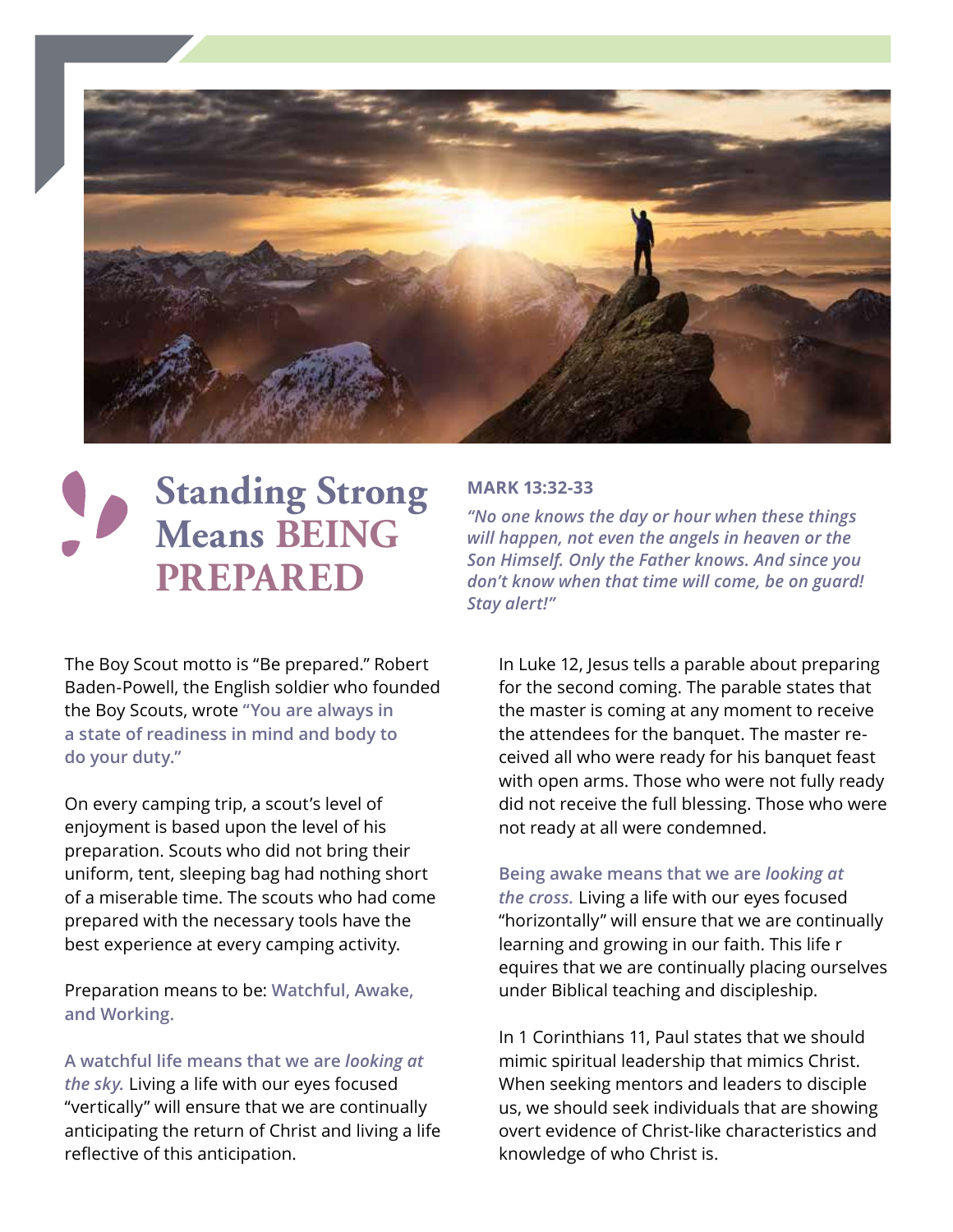

# **Standing Strong Means BEING PREPARED**

### **MARK 13:32-33**

*"No one knows the day or hour when these things will happen, not even the angels in heaven or the Son Himself. Only the Father knows. And since you don't know when that time will come, be on guard! Stay alert!"*

The Boy Scout motto is "Be prepared." Robert Baden-Powell, the English soldier who founded the Boy Scouts, wrote **"You are always in a state of readiness in mind and body to do your duty."**

On every camping trip, a scout's level of enjoyment is based upon the level of his preparation. Scouts who did not bring their uniform, tent, sleeping bag had nothing short of a miserable time. The scouts who had come prepared with the necessary tools have the best experience at every camping activity.

Preparation means to be: **Watchful, Awake, and Working.**

**A watchful life means that we are** *looking at the sky.* Living a life with our eyes focused "vertically" will ensure that we are continually anticipating the return of Christ and living a life reflective of this anticipation.

In Luke 12, Jesus tells a parable about preparing for the second coming. The parable states that the master is coming at any moment to receive the attendees for the banquet. The master received all who were ready for his banquet feast with open arms. Those who were not fully ready did not receive the full blessing. Those who were not ready at all were condemned.

#### **Being awake means that we are** *looking at*

*the cross.* Living a life with our eyes focused "horizontally" will ensure that we are continually learning and growing in our faith. This life r equires that we are continually placing ourselves under Biblical teaching and discipleship.

In 1 Corinthians 11, Paul states that we should mimic spiritual leadership that mimics Christ. When seeking mentors and leaders to disciple us, we should seek individuals that are showing overt evidence of Christ-like characteristics and knowledge of who Christ is.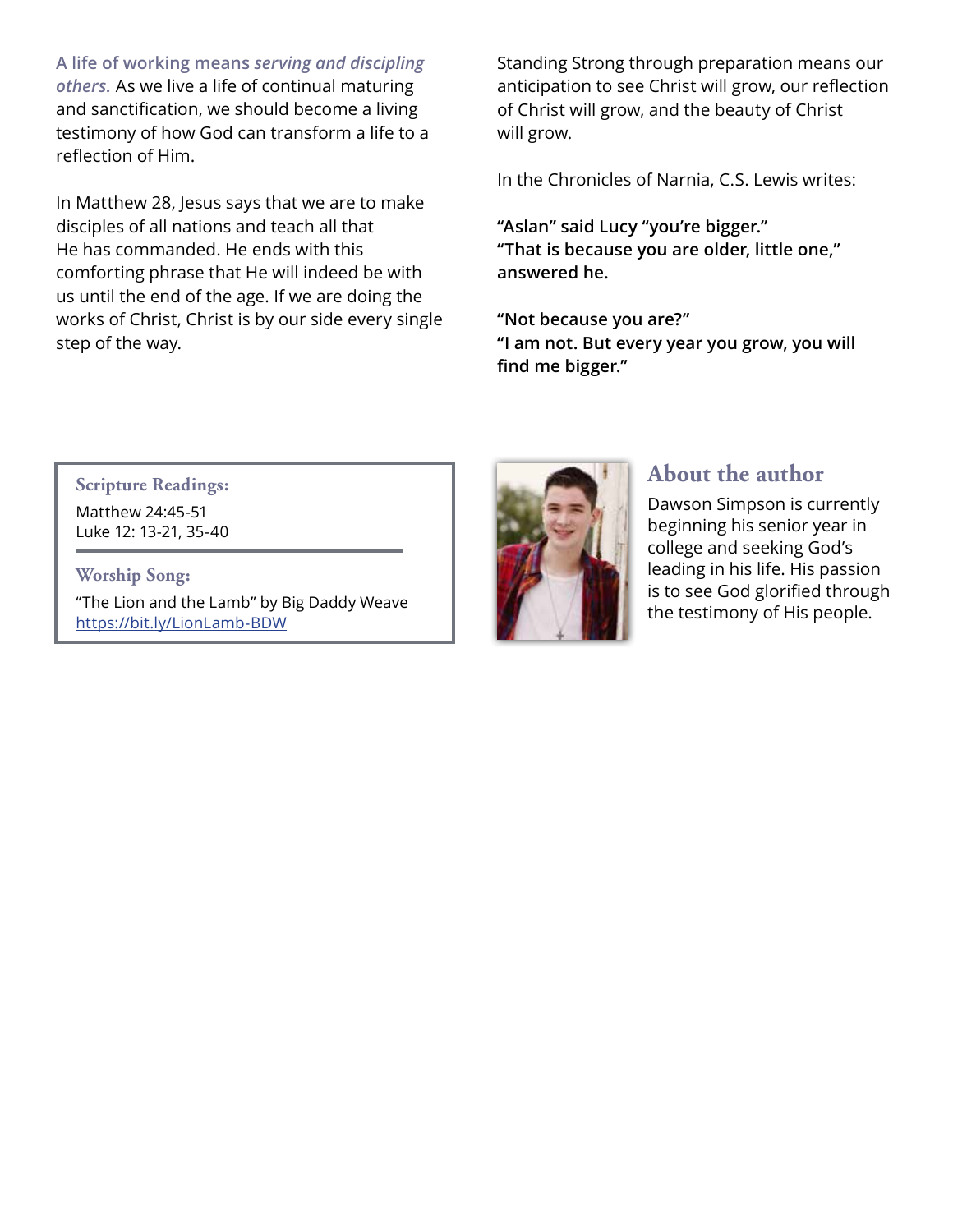**A life of working means** *serving and discipling others.* As we live a life of continual maturing and sanctification, we should become a living testimony of how God can transform a life to a reflection of Him.

In Matthew 28, Jesus says that we are to make disciples of all nations and teach all that He has commanded. He ends with this comforting phrase that He will indeed be with us until the end of the age. If we are doing the works of Christ, Christ is by our side every single step of the way.

Standing Strong through preparation means our anticipation to see Christ will grow, our reflection of Christ will grow, and the beauty of Christ will grow.

In the Chronicles of Narnia, C.S. Lewis writes:

**"Aslan" said Lucy "you're bigger." "That is because you are older, little one," answered he.**

**"Not because you are?" "I am not. But every year you grow, you will find me bigger."**

**Scripture Readings:** Matthew 24:45-51 Luke 12: 13-21, 35-40

**Worship Song:** "The Lion and the Lamb" by Big Daddy Weave https://bit.ly/LionLamb-BDW



## **About the author**

Dawson Simpson is currently beginning his senior year in college and seeking God's leading in his life. His passion is to see God glorified through the testimony of His people.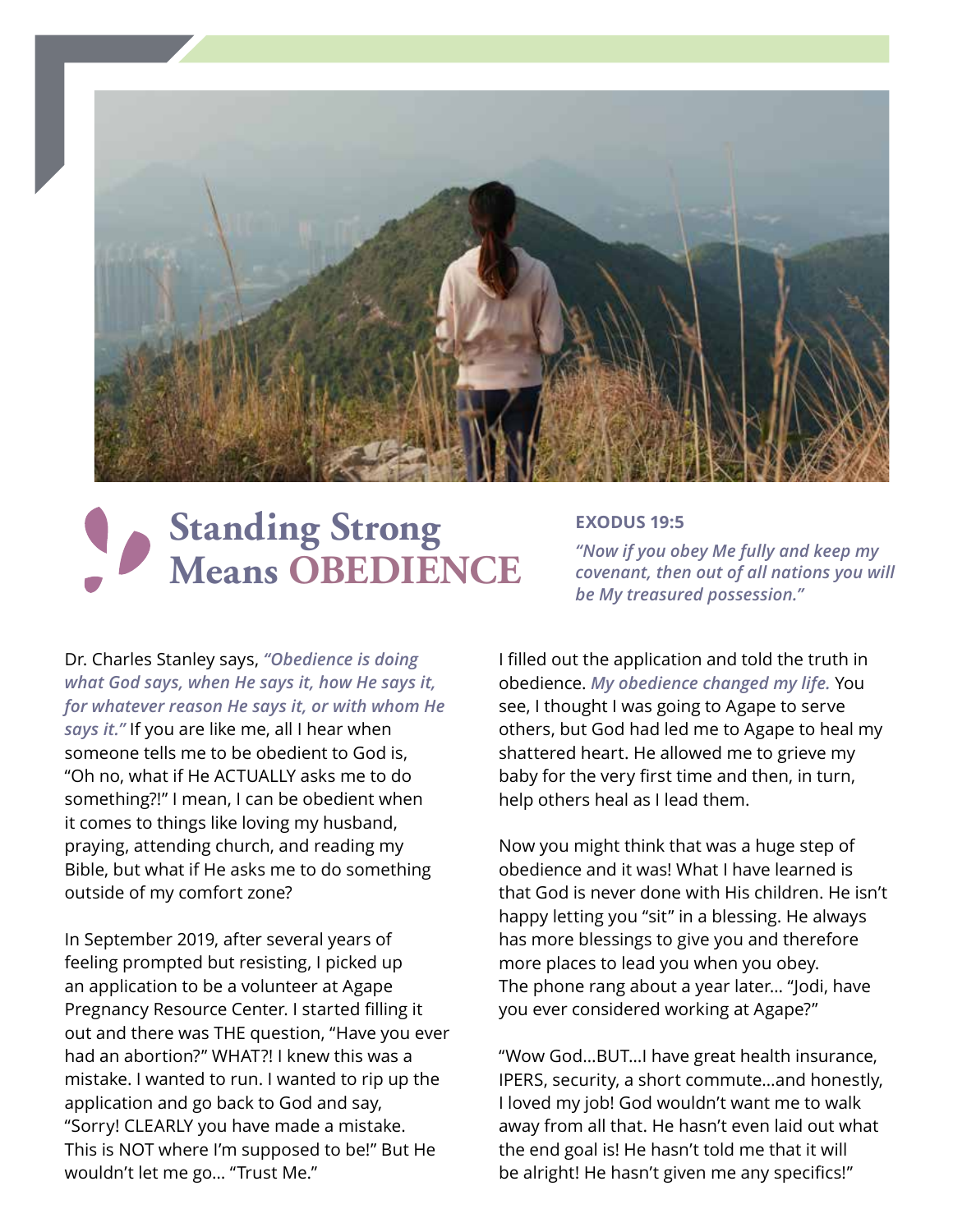

# **Standing Strong Means OBEDIENCE**

#### **EXODUS 19:5**

*"Now if you obey Me fully and keep my covenant, then out of all nations you will be My treasured possession."*

Dr. Charles Stanley says, *"Obedience is doing what God says, when He says it, how He says it, for whatever reason He says it, or with whom He says it."* If you are like me, all I hear when someone tells me to be obedient to God is, "Oh no, what if He ACTUALLY asks me to do something?!" I mean, I can be obedient when

it comes to things like loving my husband, praying, attending church, and reading my Bible, but what if He asks me to do something outside of my comfort zone?

In September 2019, after several years of feeling prompted but resisting, I picked up an application to be a volunteer at Agape Pregnancy Resource Center. I started filling it out and there was THE question, "Have you ever had an abortion?" WHAT?! I knew this was a mistake. I wanted to run. I wanted to rip up the application and go back to God and say, "Sorry! CLEARLY you have made a mistake. This is NOT where I'm supposed to be!" But He wouldn't let me go… "Trust Me."

I filled out the application and told the truth in obedience. *My obedience changed my life.* You see, I thought I was going to Agape to serve others, but God had led me to Agape to heal my shattered heart. He allowed me to grieve my baby for the very first time and then, in turn, help others heal as I lead them.

Now you might think that was a huge step of obedience and it was! What I have learned is that God is never done with His children. He isn't happy letting you "sit" in a blessing. He always has more blessings to give you and therefore more places to lead you when you obey. The phone rang about a year later… "Jodi, have you ever considered working at Agape?"

"Wow God…BUT…I have great health insurance, IPERS, security, a short commute…and honestly, I loved my job! God wouldn't want me to walk away from all that. He hasn't even laid out what the end goal is! He hasn't told me that it will be alright! He hasn't given me any specifics!"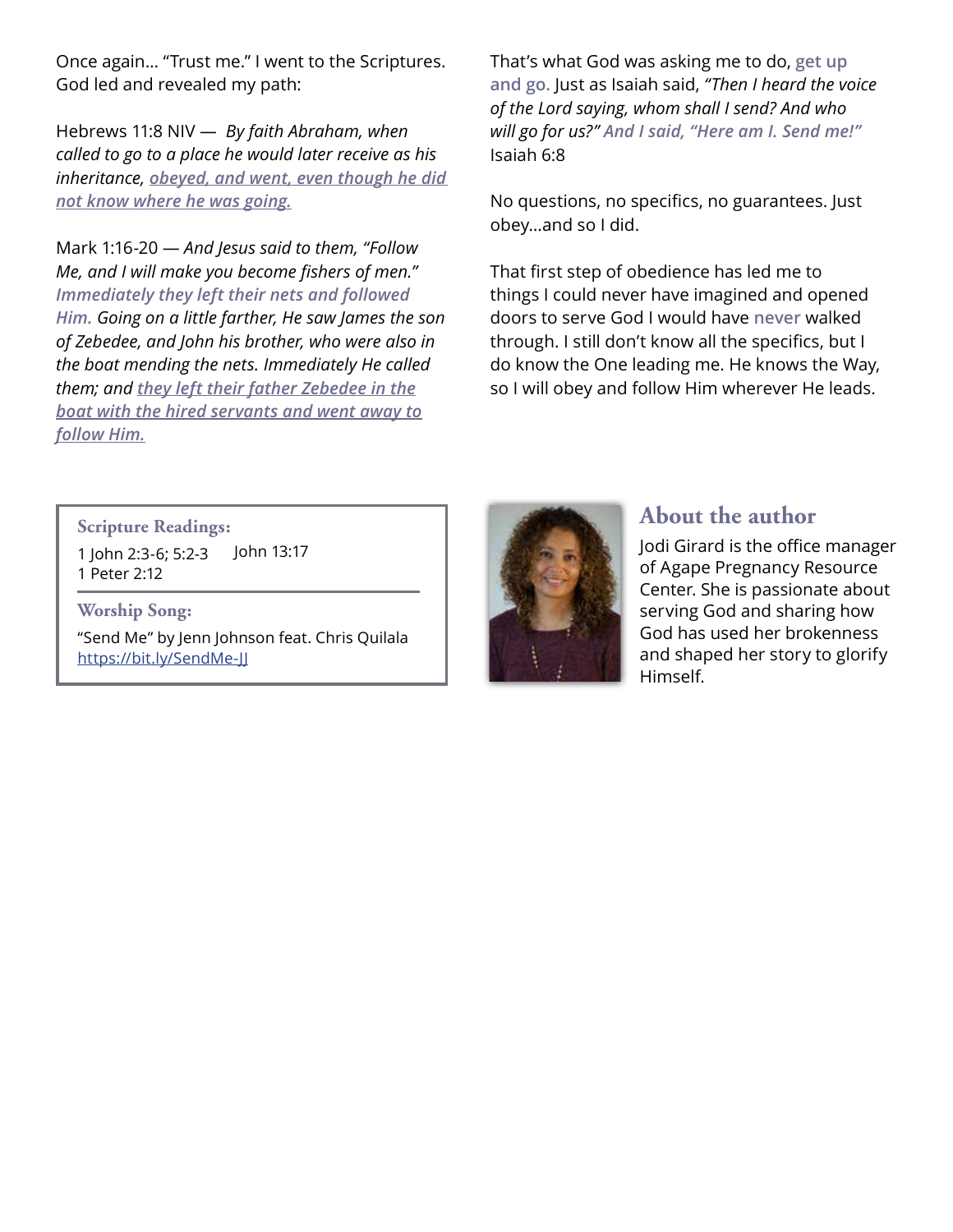Once again… "Trust me." I went to the Scriptures. God led and revealed my path:

Hebrews 11:8 NIV — *By faith Abraham, when called to go to a place he would later receive as his inheritance, obeyed, and went, even though he did not know where he was going.*

Mark 1:16-20 — *And Jesus said to them, "Follow Me, and I will make you become fishers of men." Immediately they left their nets and followed Him. Going on a little farther, He saw James the son of Zebedee, and John his brother, who were also in the boat mending the nets. Immediately He called them; and they left their father Zebedee in the boat with the hired servants and went away to follow Him.*

That's what God was asking me to do, **get up and go.** Just as Isaiah said, *"Then I heard the voice of the Lord saying, whom shall I send? And who will go for us?" And I said, "Here am I. Send me!"* Isaiah 6:8

No questions, no specifics, no guarantees. Just obey…and so I did.

That first step of obedience has led me to things I could never have imagined and opened doors to serve God I would have **never** walked through. I still don't know all the specifics, but I do know the One leading me. He knows the Way, so I will obey and follow Him wherever He leads.

**Scripture Readings:**

1 John 2:3-6; 5:2-3 1 Peter 2:12 John 13:17

#### **Worship Song:**

"Send Me" by Jenn Johnson feat. Chris Quilala https://bit.ly/SendMe-JJ



### **About the author**

Jodi Girard is the office manager of Agape Pregnancy Resource Center. She is passionate about serving God and sharing how God has used her brokenness and shaped her story to glorify Himself.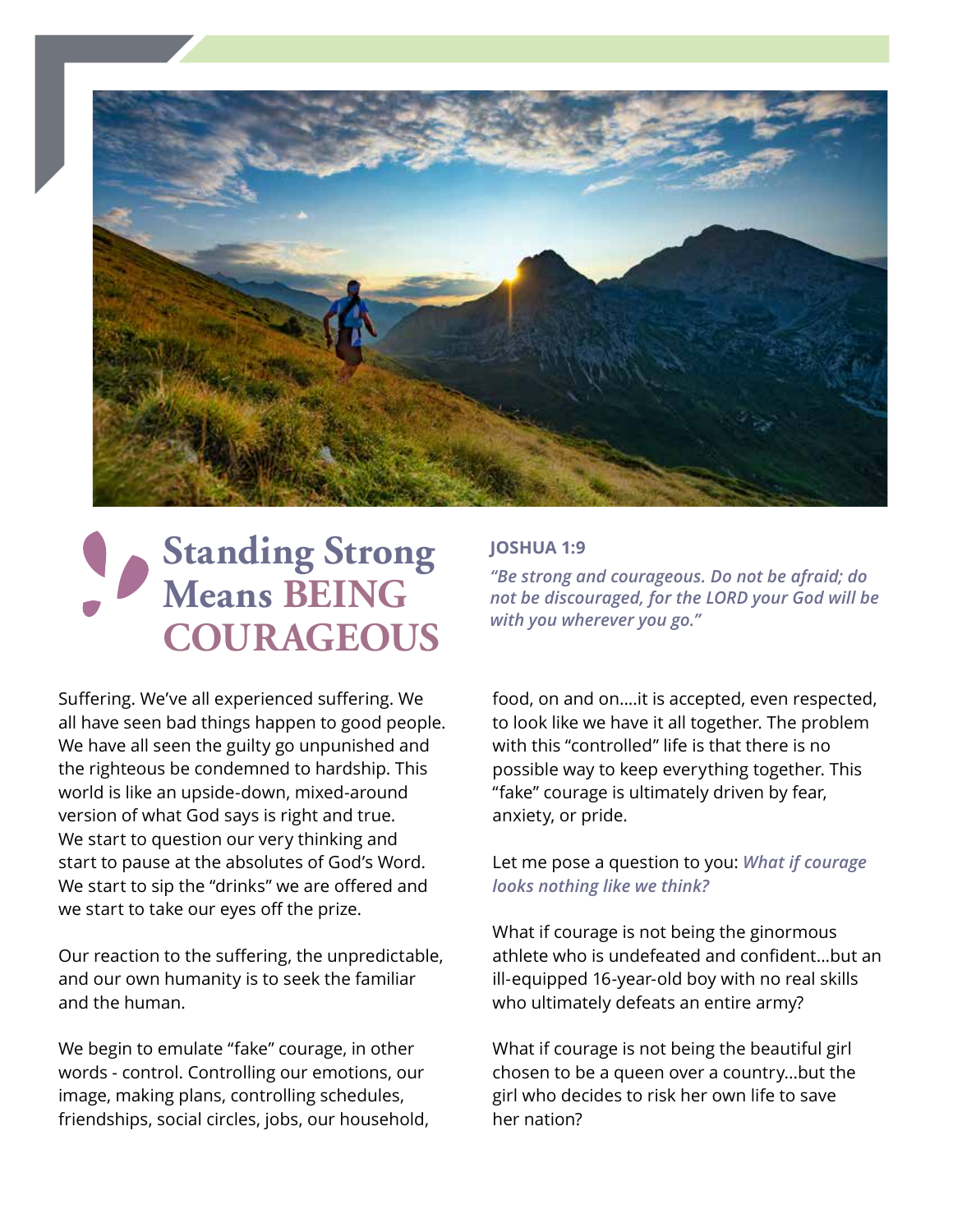

# **Standing Strong Means BEING COURAGEOUS**

Suffering. We've all experienced suffering. We all have seen bad things happen to good people. We have all seen the guilty go unpunished and the righteous be condemned to hardship. This world is like an upside-down, mixed-around version of what God says is right and true. We start to question our very thinking and start to pause at the absolutes of God's Word. We start to sip the "drinks" we are offered and we start to take our eyes off the prize.

Our reaction to the suffering, the unpredictable, and our own humanity is to seek the familiar and the human.

We begin to emulate "fake" courage, in other words - control. Controlling our emotions, our image, making plans, controlling schedules, friendships, social circles, jobs, our household,

### **JOSHUA 1:9**

*"Be strong and courageous. Do not be afraid; do not be discouraged, for the LORD your God will be with you wherever you go."* 

food, on and on....it is accepted, even respected, to look like we have it all together. The problem with this "controlled" life is that there is no possible way to keep everything together. This "fake" courage is ultimately driven by fear, anxiety, or pride.

#### Let me pose a question to you: *What if courage looks nothing like we think?*

What if courage is not being the ginormous athlete who is undefeated and confident...but an ill-equipped 16-year-old boy with no real skills who ultimately defeats an entire army?

What if courage is not being the beautiful girl chosen to be a queen over a country...but the girl who decides to risk her own life to save her nation?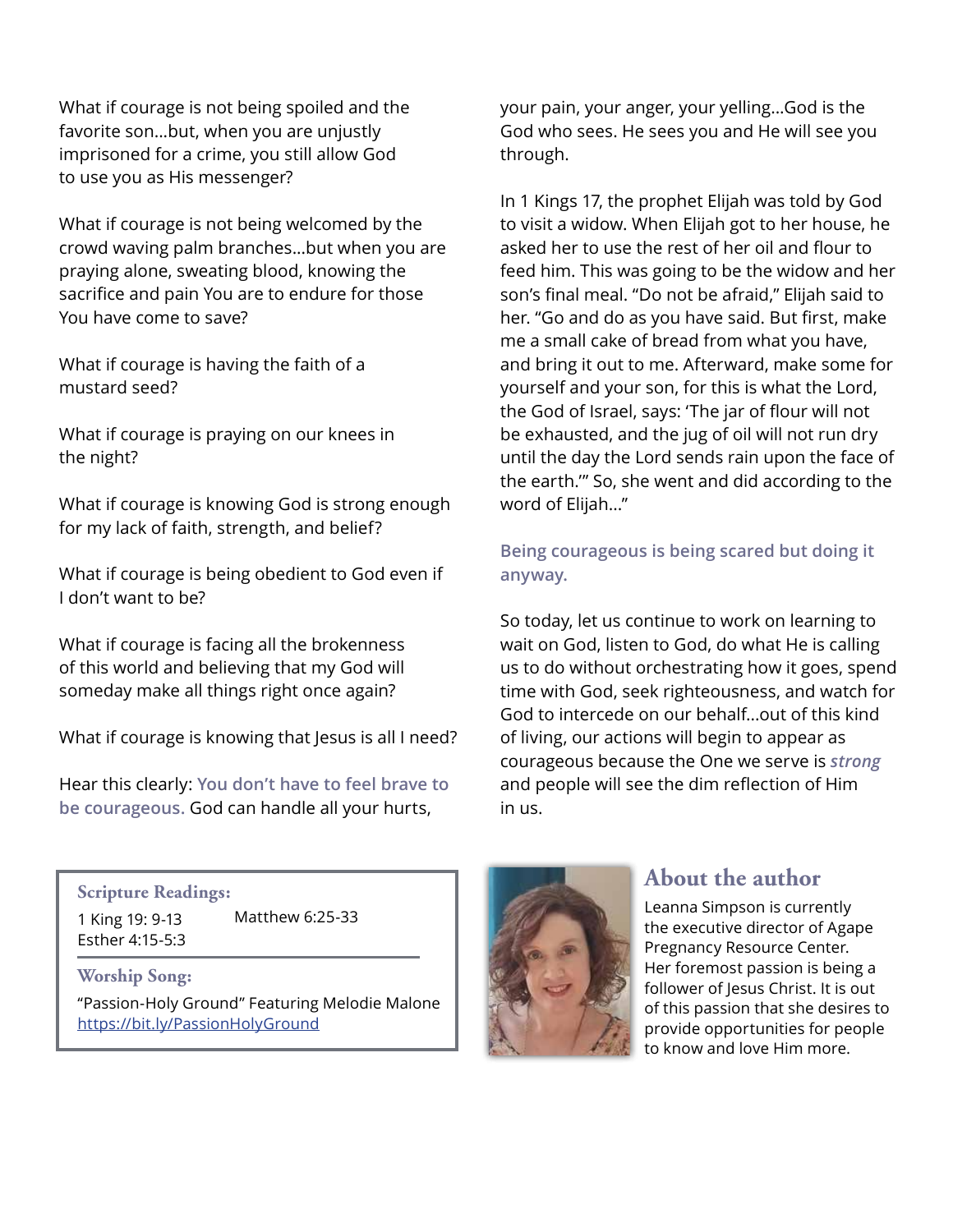What if courage is not being spoiled and the favorite son...but, when you are unjustly imprisoned for a crime, you still allow God to use you as His messenger?

What if courage is not being welcomed by the crowd waving palm branches...but when you are praying alone, sweating blood, knowing the sacrifice and pain You are to endure for those You have come to save?

What if courage is having the faith of a mustard seed?

What if courage is praying on our knees in the night?

What if courage is knowing God is strong enough for my lack of faith, strength, and belief?

What if courage is being obedient to God even if I don't want to be?

What if courage is facing all the brokenness of this world and believing that my God will someday make all things right once again?

What if courage is knowing that Jesus is all I need?

Hear this clearly: **You don't have to feel brave to be courageous.** God can handle all your hurts,

your pain, your anger, your yelling...God is the God who sees. He sees you and He will see you through.

In 1 Kings 17, the prophet Elijah was told by God to visit a widow. When Elijah got to her house, he asked her to use the rest of her oil and flour to feed him. This was going to be the widow and her son's final meal. "Do not be afraid," Elijah said to her. "Go and do as you have said. But first, make me a small cake of bread from what you have, and bring it out to me. Afterward, make some for yourself and your son, for this is what the Lord, the God of Israel, says: 'The jar of flour will not be exhausted, and the jug of oil will not run dry until the day the Lord sends rain upon the face of the earth.'" So, she went and did according to the word of Elijah..."

### **Being courageous is being scared but doing it anyway.**

So today, let us continue to work on learning to wait on God, listen to God, do what He is calling us to do without orchestrating how it goes, spend time with God, seek righteousness, and watch for God to intercede on our behalf...out of this kind of living, our actions will begin to appear as courageous because the One we serve is *strong* and people will see the dim reflection of Him in us.

#### **Scripture Readings:**

1 King 19: 9-13 Esther 4:15-5:3 Matthew 6:25-33

#### **Worship Song:**

"Passion-Holy Ground" Featuring Melodie Malone https://bit.ly/PassionHolyGround



### **About the author**

Leanna Simpson is currently the executive director of Agape Pregnancy Resource Center. Her foremost passion is being a follower of Jesus Christ. It is out of this passion that she desires to provide opportunities for people to know and love Him more.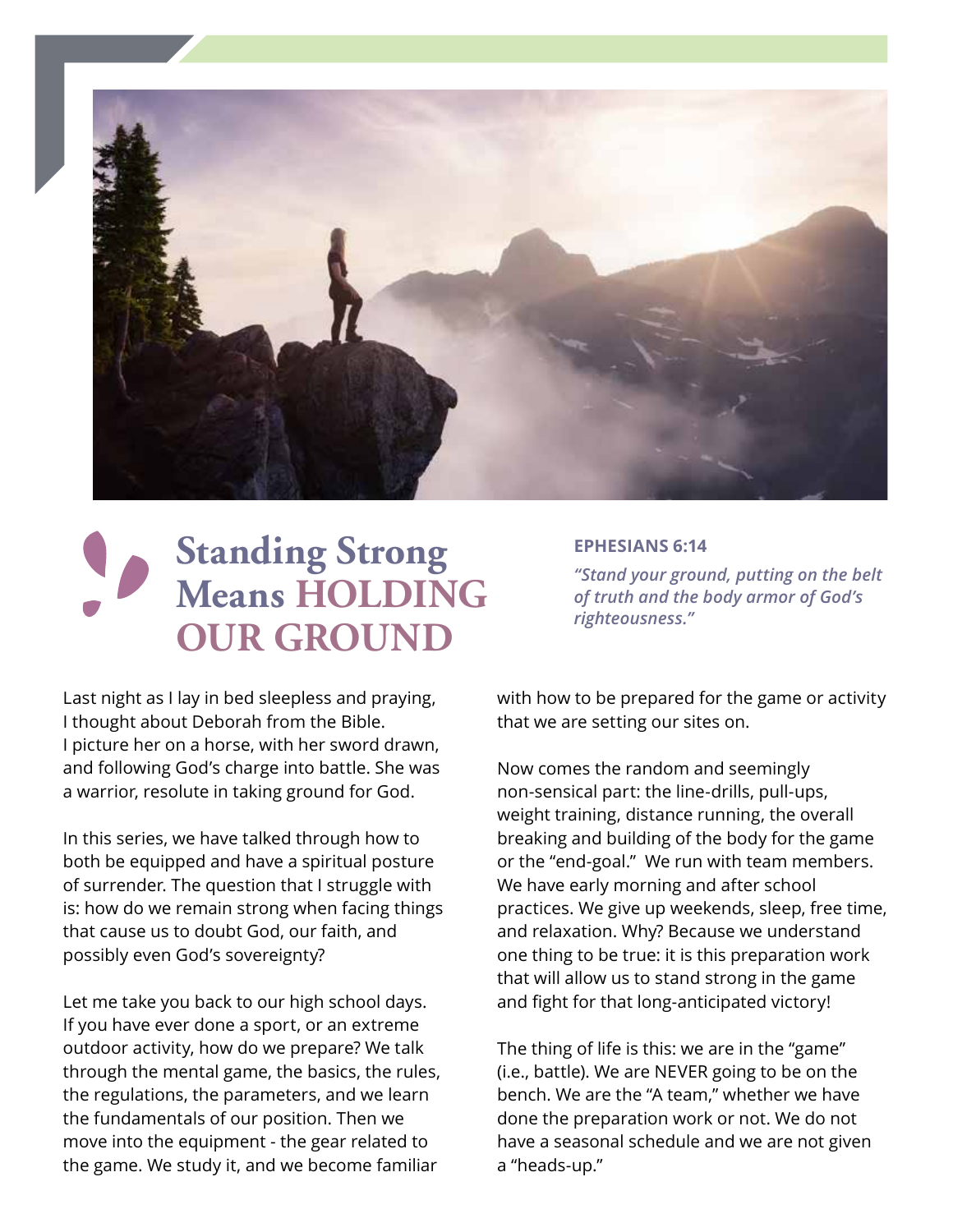

# **Standing Strong Means HOLDING OUR GROUND**

#### **EPHESIANS 6:14**

*"Stand your ground, putting on the belt of truth and the body armor of God's righteousness."* 

Last night as I lay in bed sleepless and praying, I thought about Deborah from the Bible. I picture her on a horse, with her sword drawn, and following God's charge into battle. She was a warrior, resolute in taking ground for God.

In this series, we have talked through how to both be equipped and have a spiritual posture of surrender. The question that I struggle with is: how do we remain strong when facing things that cause us to doubt God, our faith, and possibly even God's sovereignty?

Let me take you back to our high school days. If you have ever done a sport, or an extreme outdoor activity, how do we prepare? We talk through the mental game, the basics, the rules, the regulations, the parameters, and we learn the fundamentals of our position. Then we move into the equipment - the gear related to the game. We study it, and we become familiar

with how to be prepared for the game or activity that we are setting our sites on.

Now comes the random and seemingly non-sensical part: the line-drills, pull-ups, weight training, distance running, the overall breaking and building of the body for the game or the "end-goal." We run with team members. We have early morning and after school practices. We give up weekends, sleep, free time, and relaxation. Why? Because we understand one thing to be true: it is this preparation work that will allow us to stand strong in the game and fight for that long-anticipated victory!

The thing of life is this: we are in the "game" (i.e., battle). We are NEVER going to be on the bench. We are the "A team," whether we have done the preparation work or not. We do not have a seasonal schedule and we are not given a "heads-up."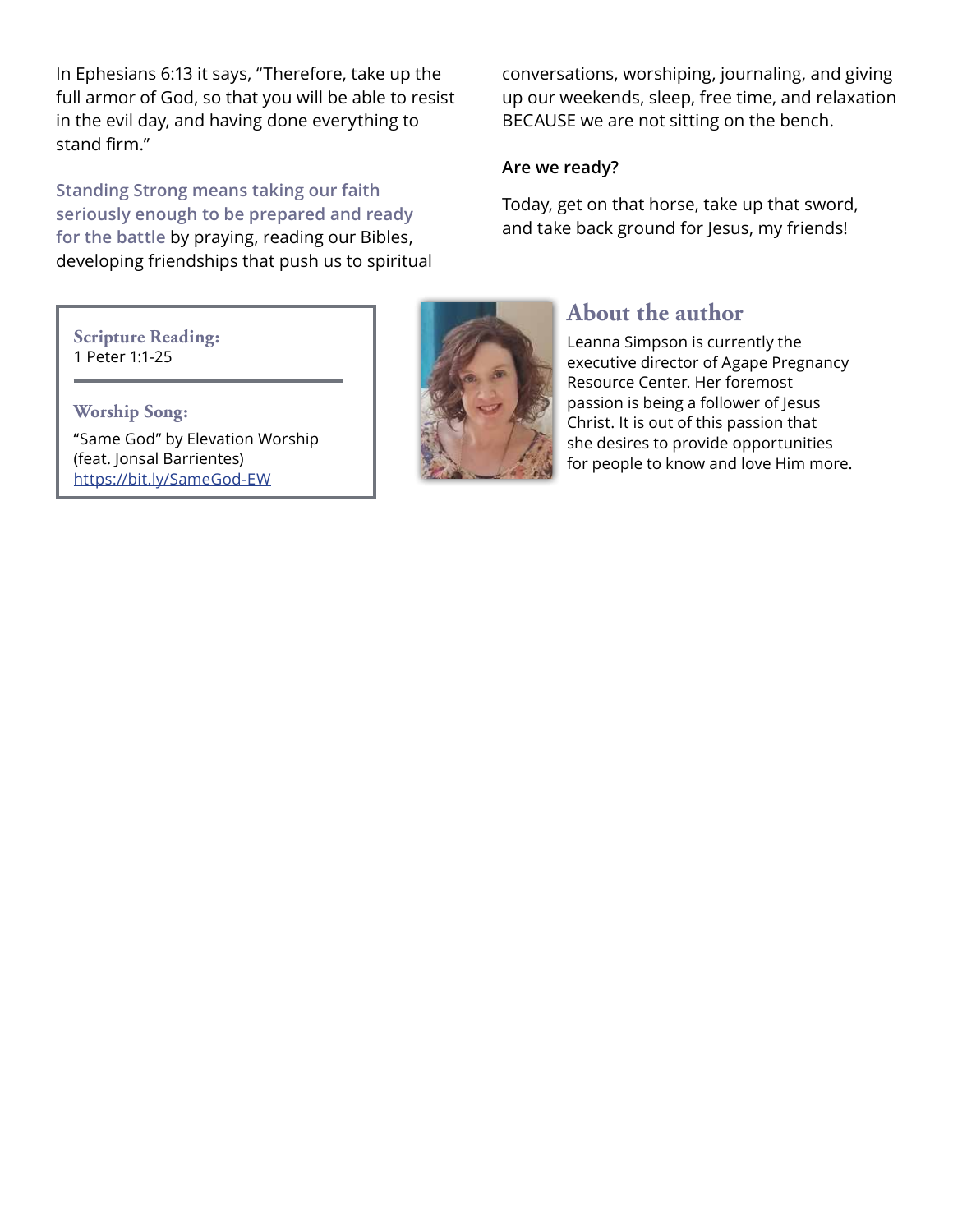In Ephesians 6:13 it says, "Therefore, take up the full armor of God, so that you will be able to resist in the evil day, and having done everything to stand firm."

**Standing Strong means taking our faith seriously enough to be prepared and ready for the battle** by praying, reading our Bibles, developing friendships that push us to spiritual

conversations, worshiping, journaling, and giving up our weekends, sleep, free time, and relaxation BECAUSE we are not sitting on the bench.

#### **Are we ready?**

Today, get on that horse, take up that sword, and take back ground for Jesus, my friends!

#### **Scripture Reading:** 1 Peter 1:1-25

**Worship Song:** "Same God" by Elevation Worship (feat. Jonsal Barrientes) https://bit.ly/SameGod-EW



### **About the author**

Leanna Simpson is currently the executive director of Agape Pregnancy Resource Center. Her foremost passion is being a follower of Jesus Christ. It is out of this passion that she desires to provide opportunities for people to know and love Him more.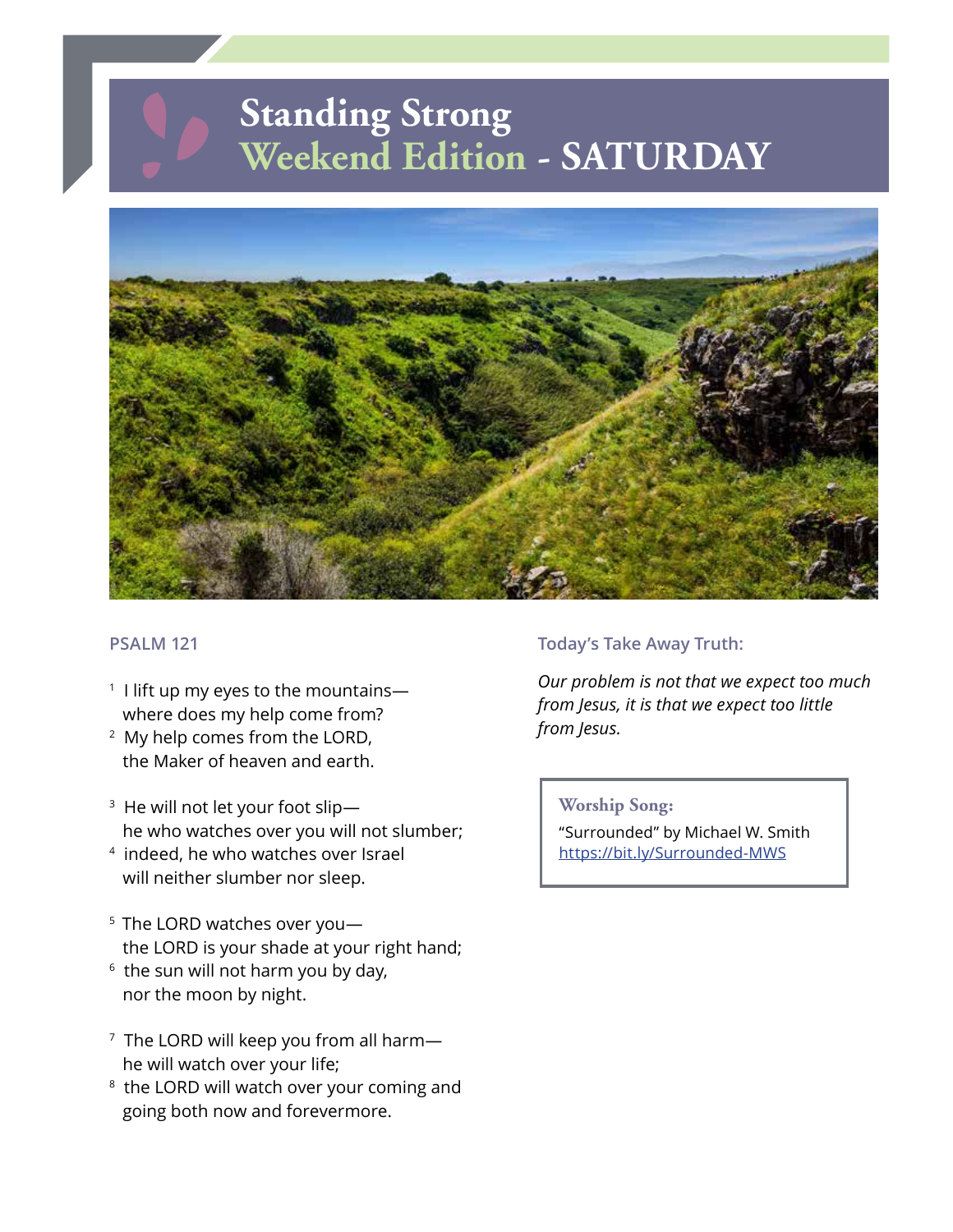## **Standing Strong Weekend Edition - SATURDAY**



#### **PSALM 121**

- $1$  I lift up my eyes to the mountains where does my help come from?
- 2 My help comes from the LORD, the Maker of heaven and earth.
- 3 He will not let your foot slip he who watches over you will not slumber;
- 4 indeed, he who watches over Israel will neither slumber nor sleep.
- <sup>5</sup> The LORD watches over youthe LORD is your shade at your right hand;
- $6$  the sun will not harm you by day, nor the moon by night.
- $7$  The LORD will keep you from all harmhe will watch over your life;
- <sup>8</sup> the LORD will watch over your coming and going both now and forevermore.

#### **Today's Take Away Truth:**

*Our problem is not that we expect too much from Jesus, it is that we expect too little from Jesus.*

**Worship Song:**

"Surrounded" by Michael W. Smith https://bit.ly/Surrounded-MWS